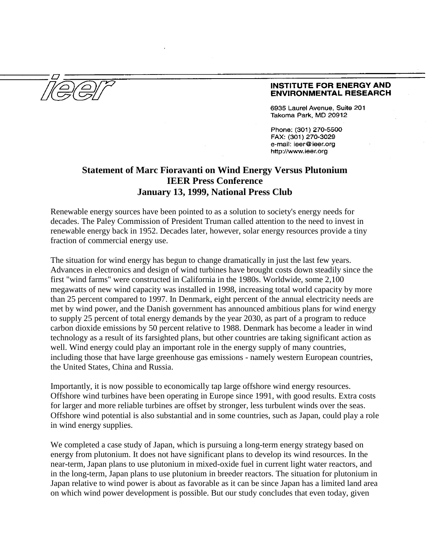## **INSTITUTE FOR ENERGY AND ENVIRONMENTAL RESEARCH**

6935 Laurel Avenue, Suite 201 Takoma Park, MD 20912

Phone: (301) 270-5500 FAX: (301) 270-3029 e-mail: ieer@ieer.org http://www.ieer.org

## **Statement of Marc Fioravanti on Wind Energy Versus Plutonium IEER Press Conference January 13, 1999, National Press Club**

Renewable energy sources have been pointed to as a solution to society's energy needs for decades. The Paley Commission of President Truman called attention to the need to invest in renewable energy back in 1952. Decades later, however, solar energy resources provide a tiny fraction of commercial energy use.

The situation for wind energy has begun to change dramatically in just the last few years. Advances in electronics and design of wind turbines have brought costs down steadily since the first "wind farms" were constructed in California in the 1980s. Worldwide, some 2,100 megawatts of new wind capacity was installed in 1998, increasing total world capacity by more than 25 percent compared to 1997. In Denmark, eight percent of the annual electricity needs are met by wind power, and the Danish government has announced ambitious plans for wind energy to supply 25 percent of total energy demands by the year 2030, as part of a program to reduce carbon dioxide emissions by 50 percent relative to 1988. Denmark has become a leader in wind technology as a result of its farsighted plans, but other countries are taking significant action as well. Wind energy could play an important role in the energy supply of many countries, including those that have large greenhouse gas emissions - namely western European countries, the United States, China and Russia.

Importantly, it is now possible to economically tap large offshore wind energy resources. Offshore wind turbines have been operating in Europe since 1991, with good results. Extra costs for larger and more reliable turbines are offset by stronger, less turbulent winds over the seas. Offshore wind potential is also substantial and in some countries, such as Japan, could play a role in wind energy supplies.

We completed a case study of Japan, which is pursuing a long-term energy strategy based on energy from plutonium. It does not have significant plans to develop its wind resources. In the near-term, Japan plans to use plutonium in mixed-oxide fuel in current light water reactors, and in the long-term, Japan plans to use plutonium in breeder reactors. The situation for plutonium in Japan relative to wind power is about as favorable as it can be since Japan has a limited land area on which wind power development is possible. But our study concludes that even today, given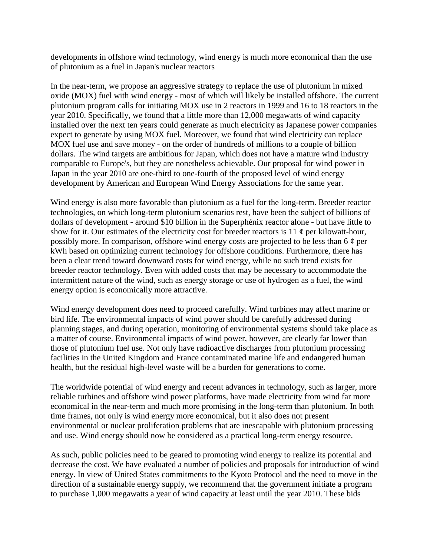developments in offshore wind technology, wind energy is much more economical than the use of plutonium as a fuel in Japan's nuclear reactors

In the near-term, we propose an aggressive strategy to replace the use of plutonium in mixed oxide (MOX) fuel with wind energy - most of which will likely be installed offshore. The current plutonium program calls for initiating MOX use in 2 reactors in 1999 and 16 to 18 reactors in the year 2010. Specifically, we found that a little more than 12,000 megawatts of wind capacity installed over the next ten years could generate as much electricity as Japanese power companies expect to generate by using MOX fuel. Moreover, we found that wind electricity can replace MOX fuel use and save money - on the order of hundreds of millions to a couple of billion dollars. The wind targets are ambitious for Japan, which does not have a mature wind industry comparable to Europe's, but they are nonetheless achievable. Our proposal for wind power in Japan in the year 2010 are one-third to one-fourth of the proposed level of wind energy development by American and European Wind Energy Associations for the same year.

Wind energy is also more favorable than plutonium as a fuel for the long-term. Breeder reactor technologies, on which long-term plutonium scenarios rest, have been the subject of billions of dollars of development - around \$10 billion in the Superphénix reactor alone - but have little to show for it. Our estimates of the electricity cost for breeder reactors is  $11 \notin$  per kilowatt-hour, possibly more. In comparison, offshore wind energy costs are projected to be less than  $6 \phi$  per kWh based on optimizing current technology for offshore conditions. Furthermore, there has been a clear trend toward downward costs for wind energy, while no such trend exists for breeder reactor technology. Even with added costs that may be necessary to accommodate the intermittent nature of the wind, such as energy storage or use of hydrogen as a fuel, the wind energy option is economically more attractive.

Wind energy development does need to proceed carefully. Wind turbines may affect marine or bird life. The environmental impacts of wind power should be carefully addressed during planning stages, and during operation, monitoring of environmental systems should take place as a matter of course. Environmental impacts of wind power, however, are clearly far lower than those of plutonium fuel use. Not only have radioactive discharges from plutonium processing facilities in the United Kingdom and France contaminated marine life and endangered human health, but the residual high-level waste will be a burden for generations to come.

The worldwide potential of wind energy and recent advances in technology, such as larger, more reliable turbines and offshore wind power platforms, have made electricity from wind far more economical in the near-term and much more promising in the long-term than plutonium. In both time frames, not only is wind energy more economical, but it also does not present environmental or nuclear proliferation problems that are inescapable with plutonium processing and use. Wind energy should now be considered as a practical long-term energy resource.

As such, public policies need to be geared to promoting wind energy to realize its potential and decrease the cost. We have evaluated a number of policies and proposals for introduction of wind energy. In view of United States commitments to the Kyoto Protocol and the need to move in the direction of a sustainable energy supply, we recommend that the government initiate a program to purchase 1,000 megawatts a year of wind capacity at least until the year 2010. These bids